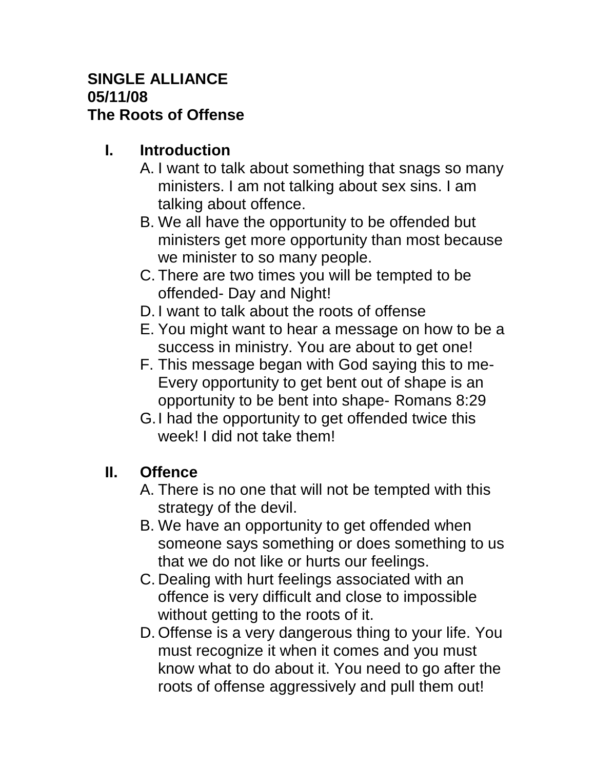#### **SINGLE ALLIANCE 05/11/08 The Roots of Offense**

## **I. Introduction**

- A. I want to talk about something that snags so many ministers. I am not talking about sex sins. I am talking about offence.
- B. We all have the opportunity to be offended but ministers get more opportunity than most because we minister to so many people.
- C. There are two times you will be tempted to be offended- Day and Night!
- D. I want to talk about the roots of offense
- E. You might want to hear a message on how to be a success in ministry. You are about to get one!
- F. This message began with God saying this to me-Every opportunity to get bent out of shape is an opportunity to be bent into shape- Romans 8:29
- G.I had the opportunity to get offended twice this week! I did not take them!

# **II. Offence**

- A. There is no one that will not be tempted with this strategy of the devil.
- B. We have an opportunity to get offended when someone says something or does something to us that we do not like or hurts our feelings.
- C. Dealing with hurt feelings associated with an offence is very difficult and close to impossible without getting to the roots of it.
- D. Offense is a very dangerous thing to your life. You must recognize it when it comes and you must know what to do about it. You need to go after the roots of offense aggressively and pull them out!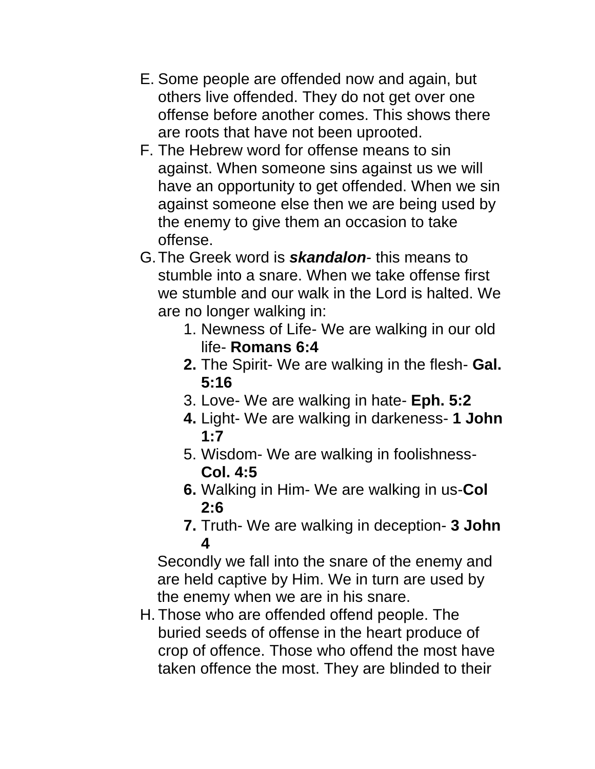- E. Some people are offended now and again, but others live offended. They do not get over one offense before another comes. This shows there are roots that have not been uprooted.
- F. The Hebrew word for offense means to sin against. When someone sins against us we will have an opportunity to get offended. When we sin against someone else then we are being used by the enemy to give them an occasion to take offense.
- G.The Greek word is *skandalon* this means to stumble into a snare. When we take offense first we stumble and our walk in the Lord is halted. We are no longer walking in:
	- 1. Newness of Life- We are walking in our old life- **Romans 6:4**
	- **2.** The Spirit- We are walking in the flesh- **Gal. 5:16**
	- 3. Love- We are walking in hate- **Eph. 5:2**
	- **4.** Light- We are walking in darkeness- **1 John 1:7**
	- 5. Wisdom- We are walking in foolishness-**Col. 4:5**
	- **6.** Walking in Him- We are walking in us-**Col 2:6**
	- **7.** Truth- We are walking in deception- **3 John 4**

Secondly we fall into the snare of the enemy and are held captive by Him. We in turn are used by the enemy when we are in his snare.

H. Those who are offended offend people. The buried seeds of offense in the heart produce of crop of offence. Those who offend the most have taken offence the most. They are blinded to their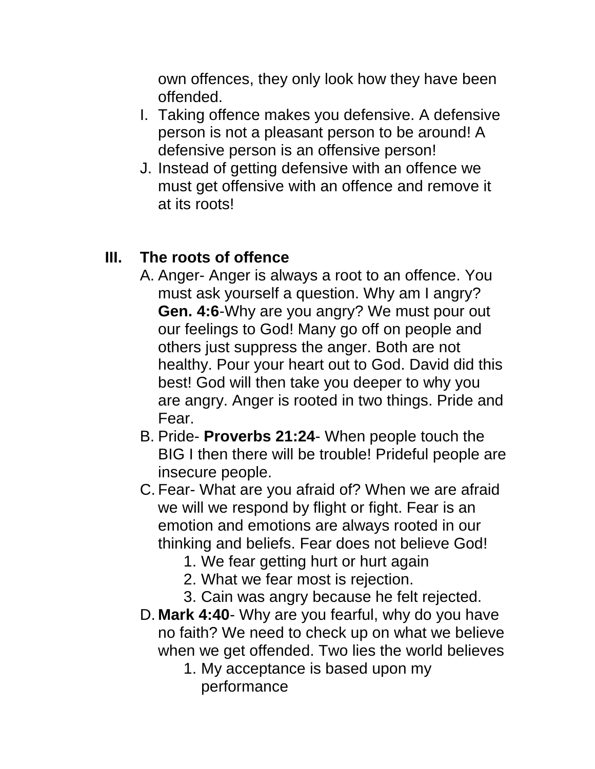own offences, they only look how they have been offended.

- I. Taking offence makes you defensive. A defensive person is not a pleasant person to be around! A defensive person is an offensive person!
- J. Instead of getting defensive with an offence we must get offensive with an offence and remove it at its roots!

### **III. The roots of offence**

- A. Anger- Anger is always a root to an offence. You must ask yourself a question. Why am I angry? **Gen. 4:6**-Why are you angry? We must pour out our feelings to God! Many go off on people and others just suppress the anger. Both are not healthy. Pour your heart out to God. David did this best! God will then take you deeper to why you are angry. Anger is rooted in two things. Pride and Fear.
- B. Pride- **Proverbs 21:24** When people touch the BIG I then there will be trouble! Prideful people are insecure people.
- C. Fear- What are you afraid of? When we are afraid we will we respond by flight or fight. Fear is an emotion and emotions are always rooted in our thinking and beliefs. Fear does not believe God!
	- 1. We fear getting hurt or hurt again
	- 2. What we fear most is rejection.
	- 3. Cain was angry because he felt rejected.
- D. **Mark 4:40** Why are you fearful, why do you have no faith? We need to check up on what we believe when we get offended. Two lies the world believes
	- 1. My acceptance is based upon my performance